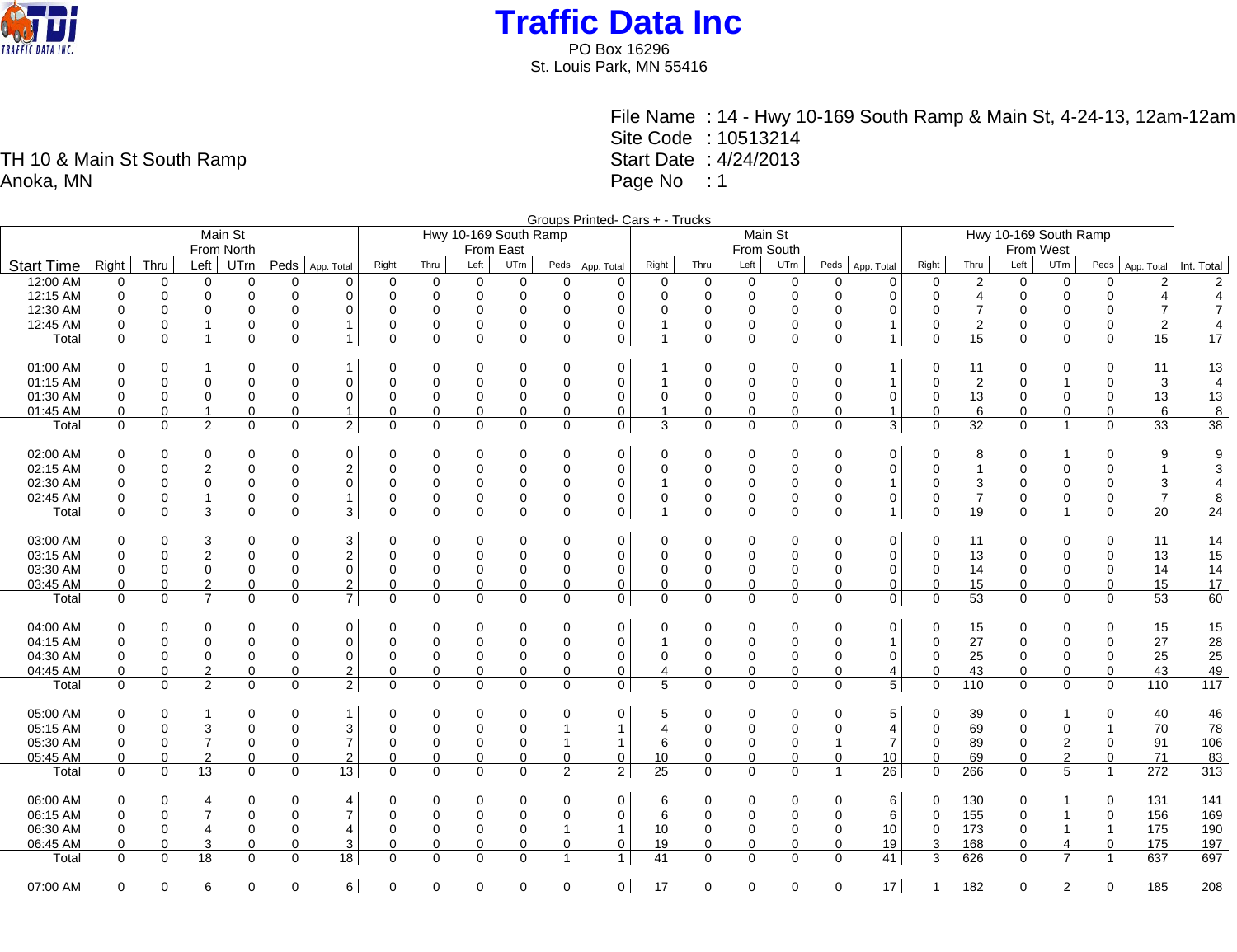

PO Box 16296 St. Louis Park, MN 55416

> File Name : 14 - Hwy 10-169 South Ramp & Main St, 4-24-13, 12am-12am Site Code : 10513214 Start Date : 4/24/2013 Page No : 1

Groups Printed- Cars + - Trucks Main St From North Hwy 10-169 South Ramp From East Main St From South Hwy 10-169 South Ramp From West Start Time Right Thru Left UTrn Peds App. Total Right Thru Left UTrn Peds App. Total Right Thru Left UTrn Peds App. Total Right Thru Left UTrn Peds App. Total Right Thru Left UTrn Peds App. Total Int. Total 12:00 AM 0 0 0 0 0 0 0 0 0 0 0 0 0 0 0 0 0 0 0 2 0 0 0 2 2 12:15 AM 0 0 0 0 0 0 0 0 0 0 0 0 0 0 0 0 0 0 0 4 0 0 0 4 4 12:30 AM 0 0 0 0 0 0 0 0 0 0 0 0 0 0 0 0 0 0 0 7 0 0 0 7 7 12:45 AM 0 0 1 0 0 1 0 0 0 0 0 0 1 0 0 0 0 1 0 2 0 0 0 2 4 Total | 0 0 0 1 | 0 0 0 0 0 0 0 0 0 0 0 1 | 0 15 0 0 0 15 | 17 01:00 AM 0 0 1 0 0 1 0 0 0 0 0 0 1 0 0 0 0 1 0 11 0 0 0 11 13 01:15 AM 0 0 0 0 0 0 0 0 0 0 0 0 1 0 0 0 0 1 0 2 0 1 0 3 4 01:30 AM 0 0 0 0 0 0 0 0 0 0 0 0 0 0 0 0 0 0 0 13 0 0 0 13 13 01:45 AM 0 0 1 0 0 1 0 0 0 0 0 0 1 0 0 0 0 1 0 6 0 0 0 6 8 Total 0 0 2 0 0 2 0 0 0 0 0 0 3 0 0 0 0 3 0 32 0 1 0 33 38 02:00 AM 0 0 0 0 0 0 0 0 0 0 0 0 0 0 0 0 0 0 0 8 0 1 0 9 9 02:15 AM 0 0 2 0 0 2 0 0 0 0 0 0 0 0 0 0 0 0 0 1 0 0 0 1 3 02:30 AM 0 0 0 0 0 0 0 0 0 0 0 0 1 0 0 0 0 1 0 3 0 0 0 3 4 02:45 AM 0 0 1 0 0 1 0 0 0 0 0 0 0 0 0 0 0 0 0 7 0 0 0 7 8 Total 0 0 3 0 0 3 0 0 0 0 0 0 1 0 0 0 0 1 0 19 0 1 0 20 24 03:00 AM 0 0 3 0 0 3 0 0 0 0 0 0 0 0 0 0 0 0 0 11 0 0 0 11 14 03:15 AM 0 0 2 0 0 2 0 0 0 0 0 0 0 0 0 0 0 0 0 13 0 0 0 13 15 03:30 AM 0 0 0 0 0 0 0 0 0 0 0 0 0 0 0 0 0 0 0 14 0 0 0 14 14 03:45 AM 0 0 2 0 0 2 0 0 0 0 0 0 0 0 0 0 0 0 0 15 0 0 0 15 17 Total 0 0 7 0 0 7 0 0 0 0 0 0 0 0 0 0 0 0 0 53 0 0 0 53 60 04:00 AM 0 0 0 0 0 0 0 0 0 0 0 0 0 0 0 0 0 0 0 15 0 0 0 15 15 04:15 AM 0 0 0 0 0 0 0 0 0 0 0 0 1 0 0 0 0 1 0 27 0 0 0 27 28 04:30 AM 0 0 0 0 0 0 0 0 0 0 0 0 0 0 0 0 0 0 0 25 0 0 0 25 25 04:45 AM | 0 0 2 0 0 2 | 0 0 0 0 0 0 0 | 4 0 0 0 0 0 4 0 43 0 0 0 43 | 49 Total 0 0 2 0 0 2 0 0 0 0 0 0 5 0 0 0 0 5 0 110 0 0 0 110 117 05:00 AM 0 0 1 0 0 1 0 0 0 0 0 0 5 0 0 0 0 5 0 39 0 1 0 40 46 05:15 AM 0 0 3 0 0 3 0 0 0 0 1 1 4 0 0 0 0 4 0 69 0 0 1 70 78 05:30 AM 0 0 7 0 0 7 0 0 0 0 1 1 6 0 0 0 1 7 0 89 0 2 0 91 106 05:45 AM 0 0 2 0 0 2 0 0 0 0 0 0 10 0 0 0 0 10 0 69 0 2 0 71 83 Total | 0 0 13 0 0 13 | 0 0 0 0 2 2 | 25 0 0 0 1 26 | 0 266 0 5 1 272 | 313 06:00 AM | 0 0 0 4 0 0 0 4 | 0 0 0 0 0 0 | 6 0 0 0 0 0 6 | 0 130 0 1 0 131 | 141 06:15 AM | 0 0 7 0 0 7 | 0 0 0 0 0 | 6 0 0 0 6 | 0 155 0 1 0 156 | 169 06:30 AM | 0 0 4 0 0 4 | 0 0 0 1 1 | 10 0 0 0 0 10 | 0 173 0 1 1 175 | 190 06:45 AM | 0 0 3 0 0 3 | 0 0 0 0 0 0 0 19 0 0 0 0 0 19 | 3 168 0 4 0 175 | 197 Total 0 0 18 0 0 18 0 0 0 0 1 1 41 0 0 0 0 41 3 626 0 7 1 637 697

07:00 AM 0 0 6 0 0 6 0 0 0 0 0 0 17 0 0 0 0 17 1 182 0 2 0 185 208

TH 10 & Main St South Ramp Anoka, MN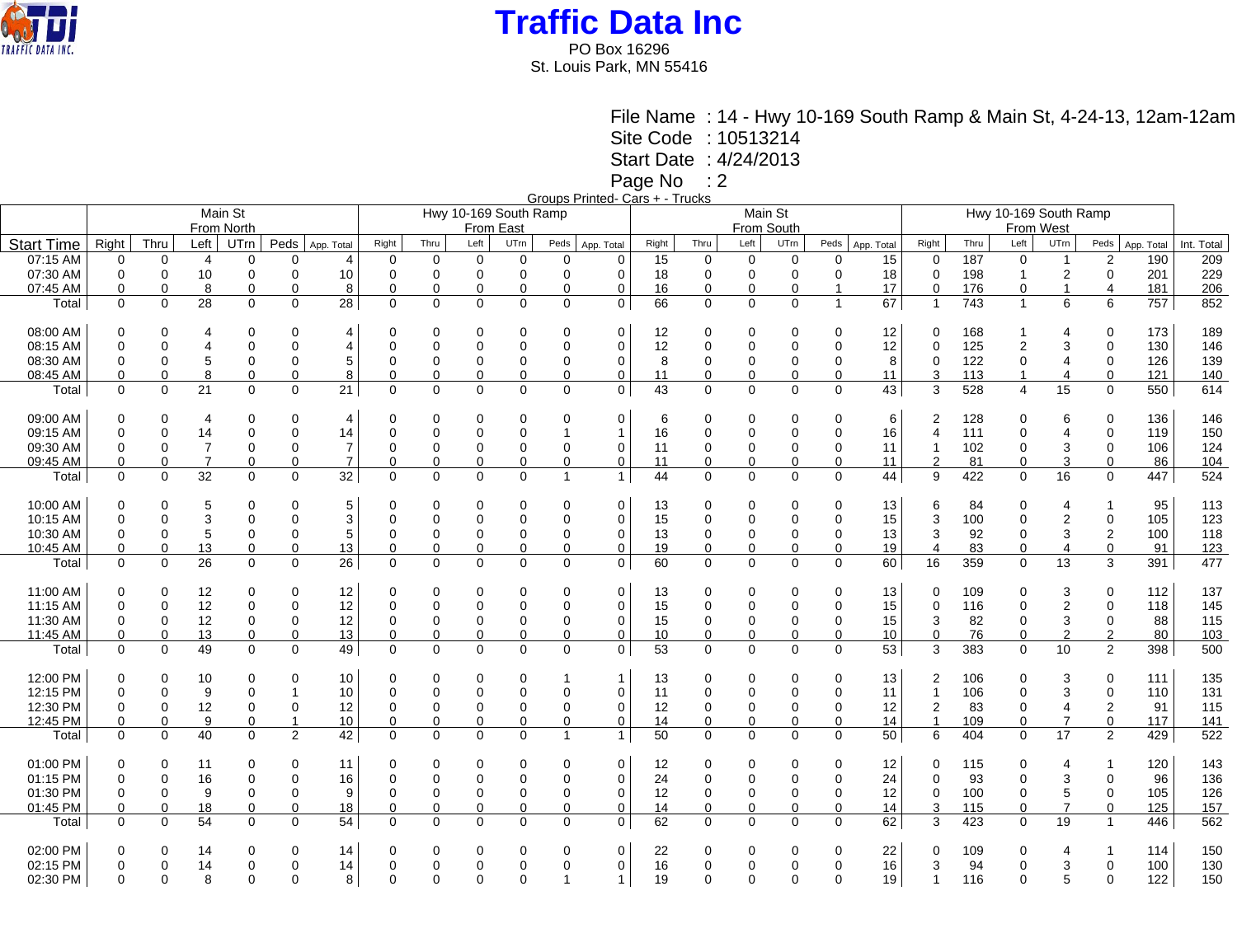

PO Box 16296 St. Louis Park, MN 55416

File Name : 14 - Hwy 10-169 South Ramp & Main St, 4-24-13, 12am-12am

Site Code : 10513214

Start Date : 4/24/2013

Page No : 2

Groups Printed- Cars + - Trucks

|                   |             |             |                |                |                |                |             |                |                |                       |                | <u> Uluupa Hillicu- Udis T - Huuns</u> |         |             |                |             |                |            |                |                       |                         |                  |                         |            |            |  |  |
|-------------------|-------------|-------------|----------------|----------------|----------------|----------------|-------------|----------------|----------------|-----------------------|----------------|----------------------------------------|---------|-------------|----------------|-------------|----------------|------------|----------------|-----------------------|-------------------------|------------------|-------------------------|------------|------------|--|--|
|                   |             |             |                | Main St        |                |                |             |                |                | Hwy 10-169 South Ramp |                |                                        | Main St |             |                |             |                |            |                | Hwy 10-169 South Ramp |                         |                  |                         |            |            |  |  |
|                   |             |             |                | From North     |                |                |             |                | From East      |                       |                | From South                             |         |             |                |             |                |            | From West      |                       |                         |                  |                         |            |            |  |  |
|                   |             |             |                |                |                |                |             |                |                |                       |                |                                        |         |             |                |             |                |            |                |                       |                         |                  |                         |            |            |  |  |
| <b>Start Time</b> | Right       | Thru        | Left           | UTrn           | Peds           | App. Total     | Right       | Thru           | Left           | UTrn                  | Peds           | App. Total                             | Right   | Thru        | Left           | UTrn        | Peds           | App. Total | Right          | Thru                  | Left                    | UTrn             | Peds                    | App. Total | Int. Total |  |  |
| 07:15 AM          | $\mathbf 0$ | $\mathbf 0$ | $\overline{4}$ | $\mathbf 0$    | $\Omega$       | $\overline{4}$ | $\mathbf 0$ | $\mathbf 0$    | $\mathbf 0$    | $\mathbf 0$           | $\mathbf 0$    | $\Omega$                               | 15      | $\pmb{0}$   | $\mathbf 0$    | $\mathbf 0$ | 0              | 15         | 0              | 187                   | $\mathbf 0$             | $\overline{1}$   | $\boldsymbol{2}$        | 190        | 209        |  |  |
| 07:30 AM          | 0           | $\mathbf 0$ | 10             | $\mathbf 0$    | $\Omega$       | 10             | $\Omega$    | 0              | $\mathbf 0$    | $\mathbf 0$           | $\mathbf 0$    | 0                                      | 18      | $\mathbf 0$ | 0              | 0           | 0              | 18         | 0              | 198                   | $\overline{1}$          | 2                | 0                       | 201        | 229        |  |  |
| 07:45 AM          | $\mathbf 0$ | $\mathbf 0$ | 8              | $\mathbf 0$    | $\mathbf{0}$   | 8              | 0           | 0              | 0              | $\mathbf 0$           | 0              | 0                                      | 16      | $\mathbf 0$ | $\mathbf 0$    | 0           | $\overline{1}$ | 17         | 0              | 176                   | 0                       | $\mathbf{1}$     | $\overline{\mathbf{4}}$ | 181        | 206        |  |  |
| Total             | $\Omega$    | $\mathbf 0$ | 28             | $\mathbf 0$    | $\Omega$       | 28             | $\mathbf 0$ | $\mathbf 0$    | $\mathbf 0$    | $\Omega$              | $\mathbf 0$    | $\mathbf 0$                            | 66      | $\Omega$    | $\mathbf 0$    | $\mathbf 0$ | $\mathbf{1}$   | 67         | $\overline{1}$ | 743                   | $\mathbf{1}$            | 6                | 6                       | 757        | 852        |  |  |
|                   |             |             |                |                |                |                |             |                |                |                       |                |                                        |         |             |                |             |                |            |                |                       |                         |                  |                         |            |            |  |  |
|                   |             |             |                |                |                |                |             |                |                |                       |                |                                        |         |             |                |             |                |            |                |                       |                         |                  |                         |            |            |  |  |
| 08:00 AM          | 0           | $\Omega$    | 4              | 0              | $\Omega$       | $\overline{4}$ | $\Omega$    | 0              | $\mathbf 0$    | $\Omega$              | 0              | 0                                      | 12      | $\mathbf 0$ | 0              | $\Omega$    | 0              | 12         | $\Omega$       | 168                   | $\mathbf{1}$            | 4                | $\mathbf 0$             | 173        | 189        |  |  |
| 08:15 AM          | $\mathbf 0$ | 0           | $\overline{4}$ | $\mathbf 0$    | $\Omega$       | $\overline{4}$ | $\Omega$    | $\overline{0}$ | $\mathbf 0$    | $\mathbf 0$           | 0              | $\mathbf 0$                            | 12      | $\mathbf 0$ | 0              | $\mathbf 0$ | 0              | 12         | $\mathbf{0}$   | 125                   | $\overline{\mathbf{c}}$ | 3                | $\mathbf 0$             | 130        | 146        |  |  |
| 08:30 AM          | $\mathbf 0$ | $\mathbf 0$ | 5              | $\mathbf 0$    | $\mathbf 0$    | 5              | $\Omega$    | 0              | 0              | 0                     | 0              | 0                                      | 8       | $\pmb{0}$   | $\mathbf 0$    | 0           | 0              | 8          | 0              | 122                   | 0                       | 4                | $\pmb{0}$               | 126        | 139        |  |  |
| 08:45 AM          | 0           | $\mathbf 0$ | 8              | $\mathbf 0$    | $\Omega$       | 8              | $\Omega$    | 0              | 0              | 0                     | 0              | 0                                      | 11      | $\mathbf 0$ | 0              | 0           | 0              | 11         | 3              | 113                   | $\mathbf{1}$            | 4                | $\mathbf 0$             | $121$      | 140        |  |  |
| Total             | $\Omega$    | $\mathbf 0$ | 21             | $\mathbf 0$    | $\mathbf 0$    | 21             | $\mathbf 0$ | $\mathbf 0$    | $\mathbf 0$    | $\mathbf 0$           | $\mathbf 0$    | 0                                      | 43      | $\mathbf 0$ | $\mathbf 0$    | $\mathbf 0$ | 0              | 43         | 3              | 528                   | $\overline{4}$          | $\overline{15}$  | $\mathbf 0$             | 550        | 614        |  |  |
|                   |             |             |                |                |                |                |             |                |                |                       |                |                                        |         |             |                |             |                |            |                |                       |                         |                  |                         |            |            |  |  |
| 09:00 AM          | $\Omega$    | $\Omega$    |                | $\Omega$       | $\Omega$       |                | $\Omega$    |                |                | 0                     |                | $\Omega$                               |         | $\Omega$    |                | $\Omega$    | 0              |            |                |                       |                         | 6                | $\Omega$                | 136        | 146        |  |  |
|                   |             |             | 4              |                |                | $\overline{4}$ |             | 0              | 0              |                       | 0              |                                        | 6       |             | 0              |             |                | 6          | 2              | 128                   | 0                       |                  |                         |            |            |  |  |
| 09:15 AM          | $\Omega$    | $\Omega$    | 14             | $\overline{0}$ | $\Omega$       | 14             | $\Omega$    | 0              | $\mathbf 0$    | $\Omega$              | 1              | $\overline{1}$                         | 16      | $\mathbf 0$ | $\Omega$       | $\mathbf 0$ | 0              | 16         | $\overline{4}$ | 111                   | 0                       | 4                | $\mathbf 0$             | 119        | 150        |  |  |
| 09:30 AM          | 0           | $\mathbf 0$ | $\overline{7}$ | $\mathbf 0$    | $\Omega$       | $\overline{7}$ | $\Omega$    | 0              | 0              | 0                     | 0              | 0                                      | 11      | $\mathbf 0$ | $\overline{0}$ | 0           | 0              | 11         |                | 102                   | 0                       | 3                | $\mathbf 0$             | 106        | 124        |  |  |
| 09:45 AM          | 0           | $\mathbf 0$ | $\overline{7}$ | $\mathbf 0$    | $\mathbf 0$    | $\overline{7}$ | $\Omega$    | 0              | 0              | 0                     | 0              | 0                                      | 11      | $\mathbf 0$ | 0              | 0           | 0              | 11         | $\overline{2}$ | 81                    | 0                       | 3                | $\Omega$                | 86         | 104        |  |  |
| Total             | $\Omega$    | $\mathbf 0$ | 32             | $\mathbf{0}$   | $\mathbf 0$    | 32             | 0           | $\mathbf 0$    | $\mathbf 0$    | $\Omega$              | $\overline{1}$ | $\overline{1}$                         | 44      | $\Omega$    | $\mathbf 0$    | $\mathbf 0$ | 0              | 44         | 9              | 422                   | $\mathbf 0$             | $\overline{16}$  | $\mathbf 0$             | 447        | 524        |  |  |
|                   |             |             |                |                |                |                |             |                |                |                       |                |                                        |         |             |                |             |                |            |                |                       |                         |                  |                         |            |            |  |  |
| 10:00 AM          | $\mathbf 0$ | $\mathbf 0$ | 5              | $\overline{0}$ | $\Omega$       | 5              |             | 0              | 0              | $\Omega$              | 0              | $\mathbf 0$                            | 13      | $\Omega$    | $\Omega$       | $\mathbf 0$ | 0              | 13         | 6              | 84                    | 0                       | 4                | 1                       | 95         | 113        |  |  |
| 10:15 AM          | $\Omega$    | $\Omega$    | 3              | $\Omega$       | $\Omega$       | $\mathbf{3}$   | $\Omega$    | 0              | $\mathbf 0$    | $\Omega$              | $\mathbf 0$    | 0                                      | 15      | $\mathbf 0$ | $\overline{0}$ | $\mathbf 0$ | 0              | 15         | 3              | 100                   | 0                       | $\overline{2}$   | $\mathbf 0$             | 105        | 123        |  |  |
| 10:30 AM          |             | $\mathbf 0$ | 5              |                | $\mathbf 0$    |                | $\Omega$    |                |                |                       |                |                                        |         |             |                |             |                |            | 3              | 92                    |                         | $\mathsf 3$      |                         | 100        | 118        |  |  |
|                   | 0           |             |                | $\mathbf 0$    |                | 5              |             | 0              | 0              | 0                     | 0              | 0                                      | 13      | 0           | $\mathbf 0$    | 0           | 0              | 13         |                |                       | 0                       |                  | $\mathbf 2$             |            |            |  |  |
| 10:45 AM          | 0           | $\mathbf 0$ | 13             | $\mathbf 0$    | $\mathbf 0$    | 13             | 0           | 0              | $\mathbf 0$    | $\mathbf 0$           | $\mathbf 0$    | 0                                      | 19      | $\Omega$    | $\mathbf 0$    | 0           | 0              | 19         | $\overline{4}$ | 83                    | $\mathbf 0$             | $\overline{4}$   | $\mathbf 0$             | 91         | 123        |  |  |
| Total             | $\mathbf 0$ | $\mathbf 0$ | 26             | $\mathbf 0$    | $\mathbf 0$    | 26             | $\mathbf 0$ | 0              | $\mathbf 0$    | $\mathbf 0$           | $\mathbf 0$    | 0                                      | 60      | 0           | $\Omega$       | $\mathbf 0$ | 0              | 60         | 16             | 359                   | $\mathbf 0$             | 13               | 3                       | 391        | 477        |  |  |
|                   |             |             |                |                |                |                |             |                |                |                       |                |                                        |         |             |                |             |                |            |                |                       |                         |                  |                         |            |            |  |  |
| 11:00 AM          | $\mathbf 0$ | $\mathbf 0$ | 12             | $\mathbf 0$    | $\Omega$       | 12             | $\Omega$    | $\Omega$       | $\mathbf 0$    | 0                     | 0              | $\mathbf 0$                            | 13      | $\mathbf 0$ | 0              | $\Omega$    | 0              | 13         | $\Omega$       | 109                   | $\mathbf 0$             | 3                | $\mathbf 0$             | 112        | 137        |  |  |
| 11:15 AM          | $\mathbf 0$ | $\mathbf 0$ | 12             | $\overline{0}$ | $\mathbf 0$    | 12             | $\Omega$    | 0              | $\mathbf 0$    | $\mathbf 0$           | 0              | $\mathbf 0$                            | 15      | $\mathbf 0$ | $\overline{0}$ | $\Omega$    | 0              | 15         | $\Omega$       | 116                   | $\mathbf 0$             | $\boldsymbol{2}$ | $\mathbf 0$             | 118        | 145        |  |  |
| 11:30 AM          | 0           | $\mathbf 0$ | 12             | $\mathbf 0$    | $\Omega$       | 12             | $\Omega$    | 0              | $\mathbf 0$    | 0                     | 0              | 0                                      | 15      | $\mathbf 0$ | 0              | $\Omega$    | 0              | 15         | 3              | 82                    | 0                       | 3                | 0                       | 88         | 115        |  |  |
| 11:45 AM          | 0           | $\mathbf 0$ | <u>13</u>      | 0              | $\mathbf 0$    | 13             | 0           | 0              | 0              | 0                     | 0              | 0                                      | 10      | $\mathbf 0$ | $\mathbf 0$    | 0           | 0              | 10         | $\mathbf 0$    | 76                    | 0                       | $\overline{2}$   | $\overline{2}$          | 80         | 103        |  |  |
| Total             | $\Omega$    | $\mathbf 0$ | 49             | $\Omega$       | $\Omega$       | 49             | 0           | $\mathbf 0$    | $\Omega$       | $\Omega$              | $\mathbf 0$    | 0                                      | 53      | $\Omega$    | $\Omega$       | $\mathbf 0$ | $\Omega$       | 53         | 3              | 383                   | $\Omega$                | 10               | 2                       | 398        | 500        |  |  |
|                   |             |             |                |                |                |                |             |                |                |                       |                |                                        |         |             |                |             |                |            |                |                       |                         |                  |                         |            |            |  |  |
|                   |             |             |                |                |                |                |             |                |                |                       |                |                                        |         |             |                |             |                |            |                |                       |                         |                  |                         |            |            |  |  |
| 12:00 PM          | 0           | 0           | 10             | 0              | $\Omega$       | 10             | $\Omega$    | 0              | 0              | 0                     |                | $\overline{1}$                         | 13      | 0           | 0              | $\mathbf 0$ | 0              | 13         | 2              | 106                   | 0                       | 3                | 0                       | 111        | 135        |  |  |
| 12:15 PM          | $\Omega$    | $\Omega$    | 9              | $\mathbf 0$    |                | 10             | $\Omega$    | 0              | $\mathbf 0$    | $\mathbf 0$           | 0              | $\mathbf 0$                            | 11      | $\mathbf 0$ | $\Omega$       | $\Omega$    | 0              | 11         | 1              | 106                   | $\mathbf 0$             | 3                | $\mathbf 0$             | 110        | 131        |  |  |
| 12:30 PM          | 0           | $\mathbf 0$ | 12             | $\mathbf 0$    | $\mathbf 0$    | 12             | $\Omega$    | 0              | 0              | 0                     | 0              | 0                                      | 12      | $\mathbf 0$ | $\overline{0}$ | 0           | 0              | 12         | $\overline{2}$ | 83                    | 0                       | $\overline{4}$   | $\mathbf 2$             | 91         | 115        |  |  |
| 12:45 PM          | 0           | 0           | 9              | $\mathbf 0$    | $\overline{1}$ | 10             | $\mathbf 0$ | 0              | $\mathbf 0$    | 0                     | $\mathbf 0$    | 0                                      | 14      | $\mathbf 0$ | $\mathbf 0$    | 0           | 0              | 14         | $\overline{1}$ | 109                   | 0                       | $\overline{7}$   | $\mathbf 0$             | 117        | 141        |  |  |
| Total             | $\Omega$    | $\Omega$    | 40             | $\Omega$       | 2              | 42             | $\Omega$    | $\Omega$       | $\Omega$       | $\Omega$              | $\overline{1}$ | $\mathbf{1}$                           | 50      | $\Omega$    | $\Omega$       | $\Omega$    | $\Omega$       | 50         | 6              | 404                   | $\Omega$                | 17               | 2                       | 429        | 522        |  |  |
|                   |             |             |                |                |                |                |             |                |                |                       |                |                                        |         |             |                |             |                |            |                |                       |                         |                  |                         |            |            |  |  |
| 01:00 PM          | 0           | 0           | 11             | 0              | $\Omega$       | 11             | $\Omega$    | 0              | 0              | 0                     | 0              | 0                                      | 12      | 0           | 0              | 0           | 0              | 12         | 0              | 115                   | 0                       | 4                | 1                       | 120        | 143        |  |  |
| 01:15 PM          | $\mathbf 0$ | $\mathbf 0$ | 16             | $\pmb{0}$      | $\mathbf 0$    | 16             | $\mathbf 0$ | 0              | $\overline{0}$ | $\mathbf 0$           | 0              | 0                                      | 24      | $\pmb{0}$   | $\mathbf 0$    | $\mathbf 0$ | 0              | 24         | 0              | 93                    | 0                       | 3                | 0                       | 96         | 136        |  |  |
| 01:30 PM          |             | $\mathbf 0$ |                | $\mathbf 0$    | $\mathbf 0$    |                | $\Omega$    |                |                |                       |                |                                        |         | $\mathbf 0$ | $\mathbf 0$    | $\Omega$    |                | 12         | $\Omega$       | 100                   | $\mathbf 0$             | 5                | $\mathbf 0$             | 105        | 126        |  |  |
|                   | 0           |             | 9              |                |                | 9              |             | 0              | 0              | 0                     | 0              | 0                                      | 12      |             |                |             | 0              |            |                |                       |                         |                  |                         |            |            |  |  |
| 01:45 PM          | 0           | $\mathbf 0$ | 18             | $\mathbf 0$    | $\mathbf 0$    | 18             | $\Omega$    | 0              | $\mathbf 0$    | $\mathbf 0$           | 0              | 0                                      | 14      | $\mathbf 0$ | $\mathbf 0$    | 0           | 0              | 14         | 3              | 115                   | 0                       | $\overline{7}$   | $\Omega$                | 125        | 157        |  |  |
| Total             | $\Omega$    | $\Omega$    | 54             | $\Omega$       | $\Omega$       | 54             | $\Omega$    | $\Omega$       | $\Omega$       | $\Omega$              | $\Omega$       | $\mathbf 0$                            | 62      | $\Omega$    | $\Omega$       | $\Omega$    | $\Omega$       | 62         | 3              | 423                   | $\mathbf 0$             | 19               | $\mathbf{1}$            | 446        | 562        |  |  |
|                   |             |             |                |                |                |                |             |                |                |                       |                |                                        |         |             |                |             |                |            |                |                       |                         |                  |                         |            |            |  |  |
| 02:00 PM          | 0           | 0           | 14             | 0              | 0              | 14             | 0           | 0              | 0              | 0                     | 0              | 0                                      | 22      | 0           | 0              | 0           | 0              | 22         | 0              | 109                   | 0                       | 4                | 1                       | 114        | 150        |  |  |
| 02:15 PM          | $\mathbf 0$ | 0           | 14             | $\overline{0}$ | $\mathbf 0$    | 14             | $\Omega$    | 0              | $\Omega$       | 0                     | 0              | 0                                      | 16      | 0           | $\mathbf 0$    | $\Omega$    | 0              | 16         | 3              | 94                    | $\mathbf 0$             | 3                | 0                       | 100        | 130        |  |  |
| 02:30 PM          | $\mathbf 0$ | $\Omega$    | 8              | $\Omega$       | $\Omega$       | 8              | $\Omega$    | $\Omega$       | $\Omega$       | $\Omega$              |                | $\mathbf{1}$                           | 19      | $\Omega$    | $\Omega$       | $\Omega$    | $\Omega$       | 19         | 1              | 116                   | $\Omega$                | 5                | $\Omega$                | 122        | 150        |  |  |
|                   |             |             |                |                |                |                |             |                |                |                       |                |                                        |         |             |                |             |                |            |                |                       |                         |                  |                         |            |            |  |  |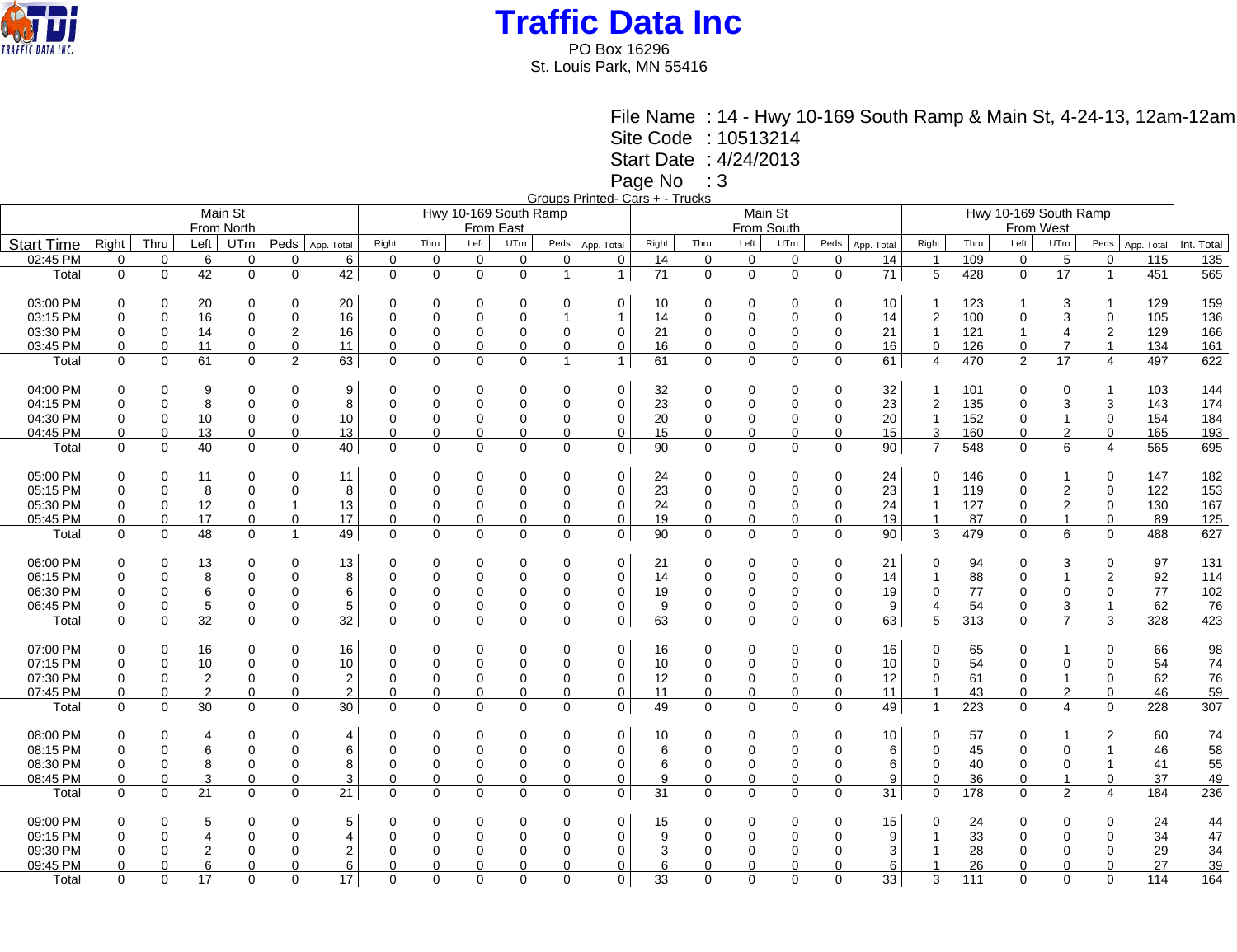

PO Box 16296 St. Louis Park, MN 55416

> File Name : 14 - Hwy 10-169 South Ramp & Main St, 4-24-13, 12am-12am Site Code : 10513214

Start Date : 4/24/2013

Page No : 3

Groups Printed- Cars + - Trucks

|                   |             |             |                | Main St          |                            |                   |             |                |                | Hwy 10-169 South Ramp |                |             |       |                |             | Main St     |             |                 | Hwy 10-169 South Ramp   |      |                   |                |                         |            |            |  |
|-------------------|-------------|-------------|----------------|------------------|----------------------------|-------------------|-------------|----------------|----------------|-----------------------|----------------|-------------|-------|----------------|-------------|-------------|-------------|-----------------|-------------------------|------|-------------------|----------------|-------------------------|------------|------------|--|
|                   |             |             | From North     |                  |                            |                   |             | From East      |                |                       |                |             |       | From South     |             |             |             |                 |                         |      |                   |                |                         |            |            |  |
|                   |             | Thru        | Left           |                  |                            |                   |             | Thru           | Left           | UTrn                  | Peds           |             |       | Thru           | Left        | UTrn        | Peds        |                 |                         | Thru | From West<br>Left | UTrn           |                         |            |            |  |
| <b>Start Time</b> | Right       |             |                | UT <sub>rn</sub> |                            | Peds   App. Total | Right       |                |                |                       |                | App. Total  | Right |                |             |             |             | App. Total      | Right                   |      |                   |                | Peds                    | App. Total | Int. Total |  |
| 02:45 PM          | $\mathbf 0$ | $\mathbf 0$ | 6              | $\mathbf 0$      | $\Omega$                   | 6                 | $\mathbf 0$ | $\mathbf 0$    | 0              | $\mathbf 0$           | $\mathbf 0$    | $\mathbf 0$ | 14    | $\mathbf 0$    | $\mathbf 0$ | $\mathbf 0$ | $\mathbf 0$ | 14              | 1                       | 109  | $\mathbf 0$       | 5              | $\mathbf 0$             | 115        | 135        |  |
| Total             | $\mathbf 0$ | $\Omega$    | 42             | $\mathbf 0$      | $\Omega$                   | 42                | $\mathbf 0$ | $\mathbf 0$    | $\mathbf 0$    | $\Omega$              | $\overline{1}$ | 1           | 71    | $\mathbf 0$    | $\mathbf 0$ | $\mathbf 0$ | $\Omega$    | $\overline{71}$ | 5                       | 428  | $\mathbf 0$       | 17             | $\mathbf{1}$            | 451        | 565        |  |
| 03:00 PM          | $\Omega$    |             | 20             | $\mathbf 0$      | $\Omega$                   | 20                | 0           | 0              | $\Omega$       | $\Omega$              | 0              | 0           | 10    | $\Omega$       | 0           | $\Omega$    | 0           | 10              |                         | 123  |                   | 3              |                         | 129        | 159        |  |
| 03:15 PM          | $\Omega$    | $\Omega$    | 16             | $\mathbf 0$      | $\Omega$                   | 16                | $\Omega$    | 0              | $\Omega$       | $\Omega$              |                | -1          | 14    | $\Omega$       | $\Omega$    | 0           | $\mathbf 0$ | 14              | $\overline{2}$          | 100  | $\Omega$          | 3              | $\mathbf 0$             | 105        | 136        |  |
| 03:30 PM          | 0           | $\Omega$    | 14             | 0                | 2                          | 16                | 0           | 0              | 0              | 0                     | 0              | 0           | 21    | $\Omega$       | 0           | $\Omega$    | $\mathbf 0$ | 21              | 1                       | 121  | $\mathbf{1}$      | 4              | $\overline{2}$          | 129        | 166        |  |
| 03:45 PM          | 0           | $\mathbf 0$ | 11             | $\mathbf 0$      | $\mathbf 0$                | 11                | $\Omega$    | 0              | 0              | 0                     | 0              | 0           | 16    | $\Omega$       | 0           | $\mathbf 0$ | $\mathbf 0$ | 16              | $\mathbf 0$             | 126  | $\mathbf 0$       | $\overline{7}$ | $\overline{1}$          | 134        | 161        |  |
| Total             | $\mathbf 0$ | $\mathbf 0$ | 61             | $\mathbf 0$      | $\overline{2}$             | 63                | $\mathbf 0$ | $\mathbf 0$    | $\mathbf 0$    | $\mathbf 0$           | $\overline{1}$ | 1           | 61    | $\Omega$       | $\mathbf 0$ | $\mathbf 0$ | $\mathbf 0$ | 61              | 4                       | 470  | $\overline{2}$    | 17             | $\overline{4}$          | 497        | 622        |  |
|                   |             |             |                |                  |                            |                   |             |                |                |                       |                |             |       |                |             |             |             |                 |                         |      |                   |                |                         |            |            |  |
| 04:00 PM          | 0           | $\Omega$    | 9              | 0                | $\Omega$                   | 9                 | 0           | 0              | $\overline{0}$ | 0                     | 0              | 0           | 32    | 0              | 0           | 0           | 0           | 32              |                         | 101  | 0                 | 0              |                         | 103        | 144        |  |
| 04:15 PM          | $\Omega$    | $\Omega$    | 8              | $\mathbf 0$      | $\Omega$                   | 8                 | $\Omega$    | 0              | $\mathbf 0$    | $\mathbf 0$           | $\mathbf 0$    | $\mathbf 0$ | 23    | $\Omega$       | $\Omega$    | $\Omega$    | $\mathbf 0$ | 23              | $\overline{\mathbf{c}}$ | 135  | 0                 | 3              | 3                       | 143        | 174        |  |
| 04:30 PM          | 0           | 0           | 10             | 0                | 0                          | 10                | 0           | 0              | 0              | 0                     | 0              | 0           | 20    | 0              | 0           | $\Omega$    | $\mathbf 0$ | 20              | 1                       | 152  | 0                 | $\mathbf{1}$   | $\mathbf 0$             | 154        | 184        |  |
| 04:45 PM          | $\mathbf 0$ | $\mathbf 0$ | 13             | $\mathbf 0$      | $\mathbf 0$                | 13                | 0           | $\mathbf 0$    | $\mathbf 0$    | $\mathbf 0$           | $\mathbf 0$    | $\mathbf 0$ | 15    | $\mathbf 0$    | $\mathbf 0$ | $\mathbf 0$ | $\mathbf 0$ | 15              | 3                       | 160  | $\mathbf 0$       | $\overline{2}$ | $\mathbf 0$             | 165        | 193        |  |
| Total             | $\Omega$    | $\mathbf 0$ | 40             | $\mathbf 0$      | $\mathbf 0$                | 40                | $\mathbf 0$ | $\mathbf 0$    | $\mathbf 0$    | $\mathbf 0$           | $\mathbf 0$    | $\mathbf 0$ | 90    | 0              | $\mathbf 0$ | $\mathbf 0$ | $\mathbf 0$ | 90              | $\overline{7}$          | 548  | $\mathbf 0$       | 6              | $\overline{4}$          | 565        | 695        |  |
| 05:00 PM          | $\Omega$    |             | 11             | $\mathbf 0$      | $\Omega$                   | 11                | 0           | 0              | $\Omega$       | 0                     | 0              | 0           | 24    | $\Omega$       | 0           | $\Omega$    | $\mathbf 0$ | 24              | 0                       | 146  | 0                 | 1              | $\mathbf 0$             | 147        | 182        |  |
| 05:15 PM          | $\Omega$    | $\Omega$    | 8              | $\mathbf 0$      | $\Omega$                   | 8                 | $\Omega$    | 0              | $\Omega$       | $\Omega$              | $\mathbf 0$    | 0           | 23    | $\mathbf 0$    | $\Omega$    | $\Omega$    | $\mathbf 0$ | 23              | 1                       | 119  | $\mathbf 0$       | 2              | $\mathbf 0$             | 122        | 153        |  |
| 05:30 PM          | 0           | 0           | 12             | 0                | -1                         | 13                | 0           | 0              | 0              | $\Omega$              |                | 0           | 24    | 0              | 0           | 0           | 0           | 24              | 1                       | 127  | 0                 | 2              | 0                       | 130        | 167        |  |
| 05:45 PM          |             | $\Omega$    |                |                  |                            |                   | $\Omega$    | 0              |                | $\Omega$              | 0              |             |       | $\Omega$       |             |             |             |                 | 1                       |      |                   | $\mathbf{1}$   |                         |            |            |  |
|                   | $\mathbf 0$ |             | 17             | $\mathbf 0$      | $\Omega$<br>$\overline{1}$ | 17                |             |                | $\mathbf 0$    |                       | 0              | 0           | 19    |                | $\Omega$    | $\Omega$    | $\mathbf 0$ | 19              |                         | 87   | $\mathbf 0$       |                | $\mathbf 0$             | 89         | $125$      |  |
| Total             | $\mathbf 0$ | $\mathbf 0$ | 48             | $\mathbf 0$      |                            | 49                | $\mathbf 0$ | $\mathbf 0$    | $\mathbf 0$    | $\mathbf 0$           | $\mathbf 0$    | $\mathbf 0$ | 90    | 0              | $\mathbf 0$ | $\mathbf 0$ | $\mathbf 0$ | 90              | 3                       | 479  | $\mathbf 0$       | 6              | $\mathbf 0$             | 488        | 627        |  |
| 06:00 PM          | $\Omega$    |             | 13             | 0                | $\Omega$                   | 13                | $\Omega$    | 0              | $\Omega$       | 0                     | 0              | 0           | 21    | $\Omega$       | 0           | 0           | $\Omega$    | 21              | 0                       | 94   | $\Omega$          | 3              | 0                       | 97         | 131        |  |
| 06:15 PM          | $\Omega$    | $\mathbf 0$ | 8              | $\mathbf 0$      | $\mathbf 0$                | 8                 | $\Omega$    | 0              | $\mathbf 0$    | $\mathbf 0$           | 0              | 0           | 14    | $\Omega$       | $\Omega$    | $\mathbf 0$ | $\mathbf 0$ | 14              | 1                       | 88   | 0                 | 1              | $\overline{2}$          | 92         | 114        |  |
| 06:30 PM          | 0           | 0           | 6              | 0                | $\Omega$                   | 6                 | 0           | 0              | $\mathbf 0$    | $\Omega$              | 0              | 0           | 19    | 0              | 0           | $\Omega$    | 0           | 19              | 0                       | 77   | 0                 | 0              | 0                       | 77         | 102        |  |
| 06:45 PM          | 0           | 0           | 5              | $\mathbf 0$      | 0                          | 5                 | 0           | 0              | 0              | 0                     | $\mathbf 0$    | 0           | 9     | 0              | 0           | 0           | $\mathbf 0$ | 9               | 4                       | 54   | 0                 | 3              | $\overline{\mathbf{1}}$ | 62         | 76         |  |
| Total             | $\Omega$    | $\Omega$    | 32             | $\overline{0}$   | $\Omega$                   | 32                | $\Omega$    | $\overline{0}$ | $\mathbf 0$    | $\Omega$              | 0              | $\mathbf 0$ | 63    | 0              | $\mathbf 0$ | $\mathbf 0$ | $\mathbf 0$ | 63              | 5                       | 313  | 0                 | $\overline{7}$ | 3                       | 328        | 423        |  |
| 07:00 PM          | $\Omega$    | $\Omega$    | 16             | $\mathbf 0$      | $\Omega$                   | 16                | $\Omega$    | 0              | 0              | $\Omega$              | $\Omega$       | 0           | 16    | $\Omega$       | 0           | $\Omega$    | 0           | 16              | 0                       | 65   | 0                 |                | $\Omega$                | 66         | 98         |  |
| 07:15 PM          | $\Omega$    | $\Omega$    | $10$           | $\mathbf 0$      | $\Omega$                   | 10                | $\Omega$    | 0              | $\Omega$       | $\Omega$              | 0              | $\mathbf 0$ | 10    | $\overline{0}$ | $\Omega$    | $\Omega$    | $\mathbf 0$ | 10              | 0                       | 54   | $\Omega$          | 0              | $\mathbf 0$             | 54         | 74         |  |
| 07:30 PM          | $\Omega$    | $\Omega$    | $\overline{c}$ | $\mathbf 0$      | 0                          | $\overline{2}$    | 0           | 0              | 0              | 0                     | 0              | 0           | 12    | $\Omega$       | 0           | 0           | $\mathbf 0$ | 12              | 0                       | 61   | 0                 | $\overline{1}$ | $\mathbf 0$             | 62         | 76         |  |
| 07:45 PM          | 0           | $\Omega$    | 2              | 0                | $\Omega$                   | $\overline{2}$    | $\Omega$    | 0              | 0              | $\Omega$              | 0              | 0           | 11    | 0              | $\Omega$    | 0           | $\mathbf 0$ | 11              | 1                       | 43   | 0                 | 2              | $\mathbf 0$             | 46         | 59         |  |
|                   |             |             |                |                  |                            |                   |             |                |                |                       |                |             |       |                |             |             |             |                 | $\overline{1}$          |      |                   | $\overline{4}$ |                         |            |            |  |
| Total             | $\mathbf 0$ | $\Omega$    | 30             | $\mathbf 0$      | $\mathbf 0$                | 30                | $\Omega$    | $\mathbf 0$    | $\mathbf 0$    | $\mathbf 0$           | $\mathbf 0$    | $\mathbf 0$ | 49    | $\mathbf 0$    | $\mathbf 0$ | $\mathbf 0$ | $\mathbf 0$ | 49              |                         | 223  | $\pmb{0}$         |                | $\mathbf 0$             | 228        | 307        |  |
| 08:00 PM          | $\Omega$    | $\Omega$    | 4              | 0                | $\Omega$                   | $\overline{4}$    | 0           | 0              | 0              | $\Omega$              | 0              | 0           | 10    | $\Omega$       | 0           | $\Omega$    | 0           | 10              | 0                       | 57   | 0                 | 1              | $\overline{2}$          | 60         | 74         |  |
| 08:15 PM          | $\mathbf 0$ | $\mathbf 0$ | 6              | $\mathbf 0$      | $\Omega$                   | 6                 | $\Omega$    | 0              | $\mathbf 0$    | $\mathbf 0$           | 0              | 0           | 6     | $\Omega$       | $\Omega$    | $\Omega$    | $\mathbf 0$ | 6               | 0                       | 45   | 0                 | 0              |                         | 46         | 58         |  |
| 08:30 PM          | 0           | $\mathbf 0$ | 8              | $\mathbf 0$      | $\Omega$                   | 8                 | 0           | 0              | 0              | 0                     | 0              | 0           | 6     | $\mathbf 0$    | 0           | 0           | $\mathbf 0$ | 6               | 0                       | 40   | 0                 | 0              | -1                      | 41         | 55         |  |
| 08:45 PM          | 0           | $\Omega$    | 3              | $\mathbf 0$      | $\Omega$                   | 3                 | $\Omega$    | 0              | $\mathbf 0$    | $\Omega$              | 0              | 0           | 9     | 0              | 0           | $\Omega$    | $\Omega$    | 9               | $\Omega$                | 36   | 0                 | 1              | $\Omega$                | 37         | 49         |  |
| Total             | 0           | $\mathbf 0$ | 21             | $\mathbf 0$      | $\Omega$                   | 21                | $\Omega$    | $\mathbf 0$    | $\mathbf 0$    | $\mathbf 0$           | $\mathbf 0$    | $\mathbf 0$ | 31    | 0              | $\mathbf 0$ | $\mathbf 0$ | $\mathbf 0$ | 31              | $\mathbf 0$             | 178  | $\mathbf 0$       | $\overline{2}$ | $\overline{A}$          | 184        | 236        |  |
| 09:00 PM          | $\Omega$    |             | 5              | $\Omega$         | $\Omega$                   | 5                 | $\Omega$    | 0              | $\Omega$       | 0                     | 0              | 0           | 15    | $\Omega$       | 0           | $\Omega$    | $\Omega$    | 15              | 0                       | 24   | 0                 | 0              | $\Omega$                | 24         | 44         |  |
| 09:15 PM          | $\Omega$    | $\Omega$    | 4              | $\mathbf 0$      | $\Omega$                   | $\overline{4}$    | $\Omega$    | 0              | $\Omega$       | $\Omega$              | $\Omega$       | 0           | 9     | $\Omega$       | $\Omega$    | $\Omega$    | $\mathbf 0$ | 9               | 1                       | 33   | $\Omega$          | $\mathbf{0}$   | $\mathbf 0$             | 34         | 47         |  |
| 09:30 PM          | $\Omega$    | 0           | 2              | $\mathbf 0$      | $\Omega$                   | $\overline{2}$    | $\Omega$    | 0              | $\overline{0}$ | $\Omega$              | 0              | 0           | 3     | $\mathbf 0$    | 0           | 0           | $\mathbf 0$ | 3               |                         | 28   | 0                 | 0              | 0                       | 29         | 34         |  |
| 09:45 PM          | $\Omega$    | 0           | 6              | $\Omega$         | $\Omega$                   | 6                 | $\Omega$    | 0              | $\Omega$       | $\Omega$              | 0              | 0           | 6     | $\Omega$       | 0           | 0           | $\Omega$    | 6               |                         | 26   | $\Omega$          | 0              | $\Omega$                | 27         | 39         |  |
|                   | $\Omega$    | $\Omega$    | 17             | $\mathbf 0$      | $\Omega$                   | 17                | $\Omega$    | $\Omega$       | $\Omega$       | $\Omega$              | $\Omega$       | $\Omega$    | 33    | $\Omega$       | $\Omega$    | $\Omega$    | $\Omega$    | 33              | 3                       | 111  | $\Omega$          | $\Omega$       | $\Omega$                | 114        | 164        |  |
| Total             |             |             |                |                  |                            |                   |             |                |                |                       |                |             |       |                |             |             |             |                 |                         |      |                   |                |                         |            |            |  |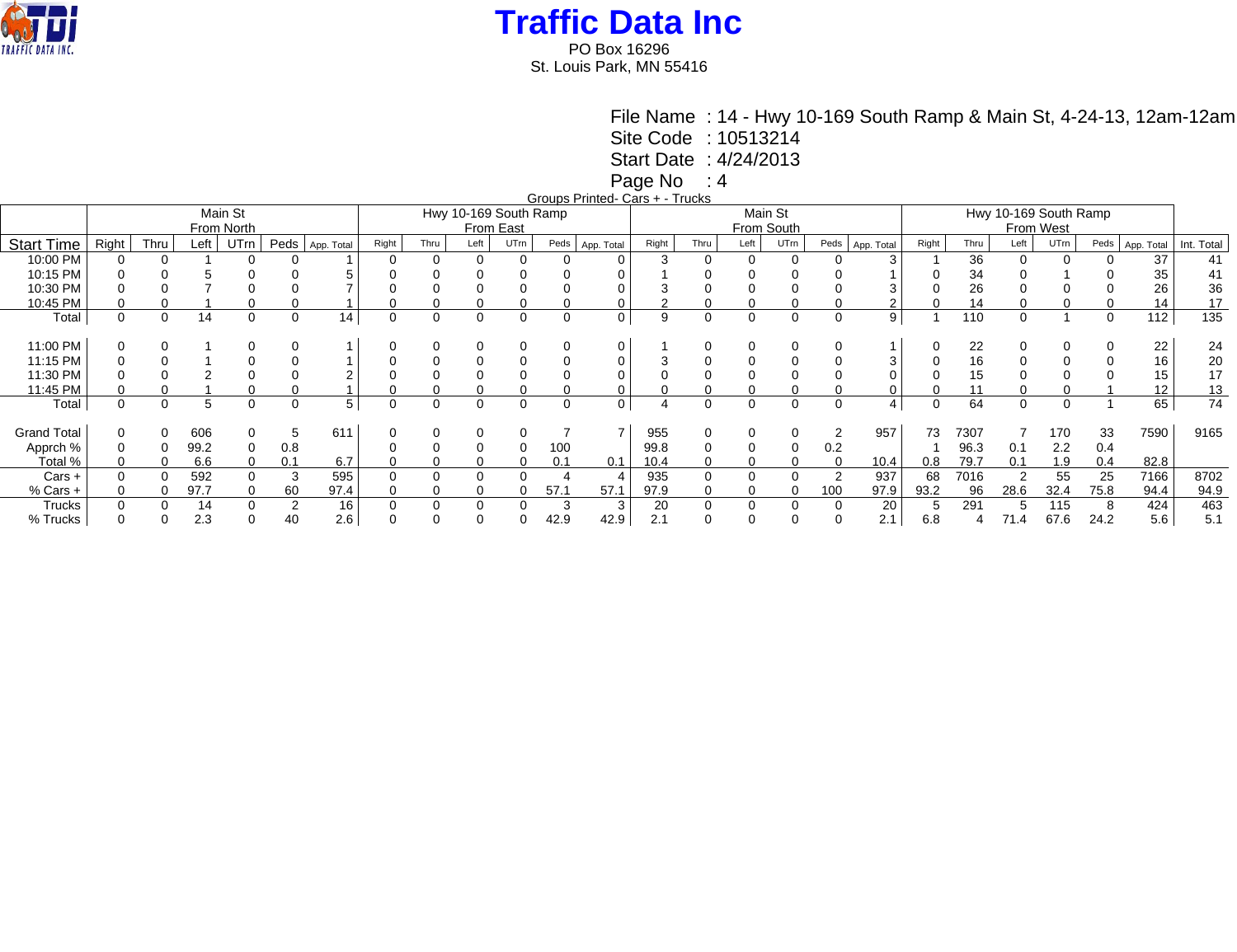

PO Box 16296 St. Louis Park, MN 55416

File Name : 14 - Hwy 10-169 South Ramp & Main St, 4-24-13, 12am-12am

Site Code : 10513214

Start Date : 4/24/2013

Page No : 4

Groups Printed- Cars + - Trucks

|                    |          | oloups i lilitoù oals i<br>,,,,,,,,<br>Main St<br>Hwy 10-169 South Ramp<br>Main St |      |            |      |            |          |      |          |           |          |            |       |      |          |            |      |            |                       |      |                |          |          |            |            |  |
|--------------------|----------|------------------------------------------------------------------------------------|------|------------|------|------------|----------|------|----------|-----------|----------|------------|-------|------|----------|------------|------|------------|-----------------------|------|----------------|----------|----------|------------|------------|--|
|                    |          |                                                                                    |      |            |      |            |          |      |          |           |          |            |       |      |          |            |      |            | Hwy 10-169 South Ramp |      |                |          |          |            |            |  |
|                    |          |                                                                                    |      | From North |      |            |          |      |          | From East |          |            |       |      |          | From South |      |            | From West             |      |                |          |          |            |            |  |
| <b>Start Time</b>  | Right    | Thru                                                                               | Left | UTrn       | Peds | App. Total | Right    | Thru | Left     | UTrn      | Peds     | App. Total | Right | Thru | Left     | UTrn       | Peds | App. Total | Right                 | Thru | Left           | UTrn     | Peds     | App. Total | Int. Total |  |
| 10:00 PM           |          |                                                                                    |      |            |      |            |          |      |          |           |          |            |       |      |          |            |      |            |                       | 36   |                |          |          | 37         | 41         |  |
| 10:15 PM           |          |                                                                                    |      |            |      |            |          |      |          |           |          |            |       |      |          |            |      |            |                       | 34   |                |          |          | 35         | 41         |  |
| 10:30 PM           |          |                                                                                    |      |            |      |            |          |      |          |           |          |            |       |      |          |            |      |            |                       | 26   |                |          |          | 26         | 36         |  |
| 10:45 PM           |          |                                                                                    |      |            |      |            |          |      |          |           |          |            |       |      |          |            |      |            |                       | 14   |                |          |          | 14         | 17         |  |
| Total              | $\Omega$ | 0                                                                                  | 14   | $\Omega$   |      | 14         | $\Omega$ | 0    |          |           | $\Omega$ | 0          | 9     |      | $\Omega$ | 0          | 0    | 9          |                       | 110  | $\mathbf 0$    |          | $\Omega$ | 112        | 135        |  |
|                    |          |                                                                                    |      |            |      |            |          |      |          |           |          |            |       |      |          |            |      |            |                       |      |                |          |          |            |            |  |
| 11:00 PM           |          |                                                                                    |      |            |      |            |          |      |          |           |          |            |       |      |          | 0          |      |            |                       | 22   | $\mathbf 0$    |          |          | 22         | 24         |  |
| 11:15 PM           |          |                                                                                    |      |            |      |            |          |      |          |           |          |            |       |      |          |            |      |            |                       | 16   | $\mathbf 0$    |          |          | 16         | 20         |  |
| 11:30 PM           |          |                                                                                    |      |            |      |            |          |      |          |           |          |            |       |      |          |            |      |            |                       | 15   |                |          |          | 15         | 17         |  |
| 11:45 PM           |          |                                                                                    |      |            |      |            |          |      |          |           |          |            |       |      |          |            |      |            |                       |      |                |          |          | 12         | 13         |  |
| Total              | $\Omega$ | 0                                                                                  | 5    | 0          |      | 5          | 0        | 0    | $\Omega$ | 0         | 0        | 0          |       | 0    | $\Omega$ | 0          | 0    | 4          | ∩                     | 64   | $\mathbf 0$    | $\Omega$ |          | 65         | 74         |  |
|                    |          |                                                                                    |      |            |      |            |          |      |          |           |          |            |       |      |          |            |      |            |                       |      |                |          |          |            |            |  |
| <b>Grand Total</b> |          |                                                                                    | 606  |            |      | 611        |          |      |          |           |          |            | 955   |      |          | 0          |      | 957        | 73                    | 7307 |                | 170      | 33       | 7590       | 9165       |  |
| Apprch %           |          |                                                                                    | 99.2 | 0          | 0.8  |            |          |      |          |           | 100      |            | 99.8  |      |          | 0          | 0.2  |            |                       | 96.3 | 0.1            | 2.2      | 0.4      |            |            |  |
| Total %            |          |                                                                                    | 6.6  | 0          | 0.1  | 6.7        |          |      |          |           | 0.1      | 0.1        | 10.4  |      |          | 0          |      | 10.4       | 0.8                   | 79.7 | 0.1            | 1.9      | 0.4      | 82.8       |            |  |
| $Cars +$           |          |                                                                                    | 592  |            |      | 595        |          |      |          |           |          |            | 935   |      |          |            |      | 937        | 68                    | 7016 | $\overline{2}$ | 55       | 25       | 7166       | 8702       |  |
| $%$ Cars +         | 0        |                                                                                    | 97.7 |            | 60   | 97.4       |          |      |          |           | 57.7     | 57.1       | 97.9  |      |          | 0          | 100  | 97.9       | 93.2                  | 96   | 28.6           | 32.4     | 75.8     | 94.4       | 94.9       |  |
| Trucks             |          |                                                                                    | 14   |            |      | 16         |          |      |          |           | - 0      | 3          | 20    |      |          | 0          |      | 20         |                       | 291  | 5              | 115      | ö        | 424        | 463        |  |
| % Trucks           |          |                                                                                    | 2.3  |            |      | 2.6        |          |      |          |           | 42.9     | 42.9       | 2.1   |      |          |            |      | 2.1        | 6.8                   |      | 71.4           | 67.6     | 24.2     | 5.6        | 5.1        |  |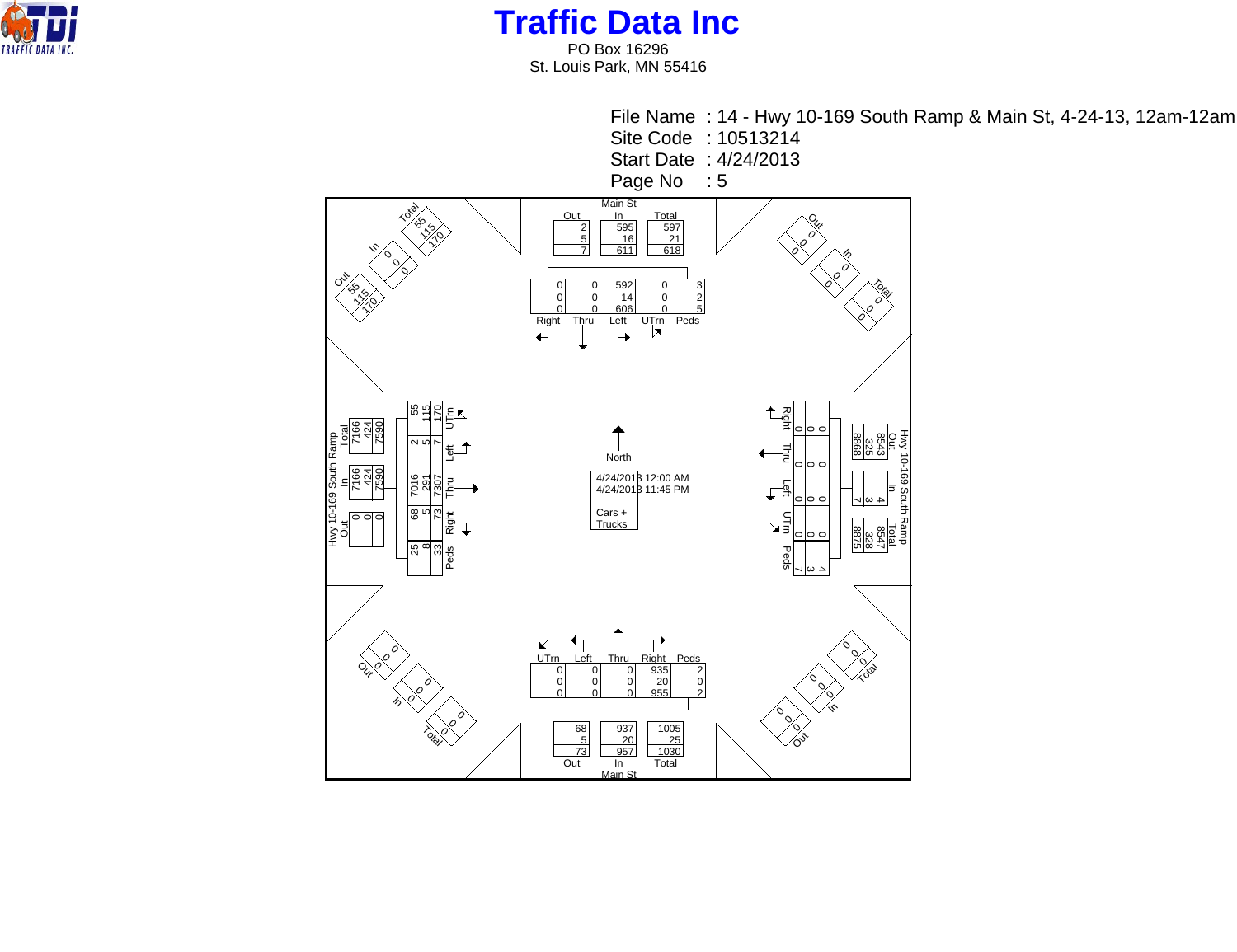

PO Box 16296 St. Louis Park, MN 55416